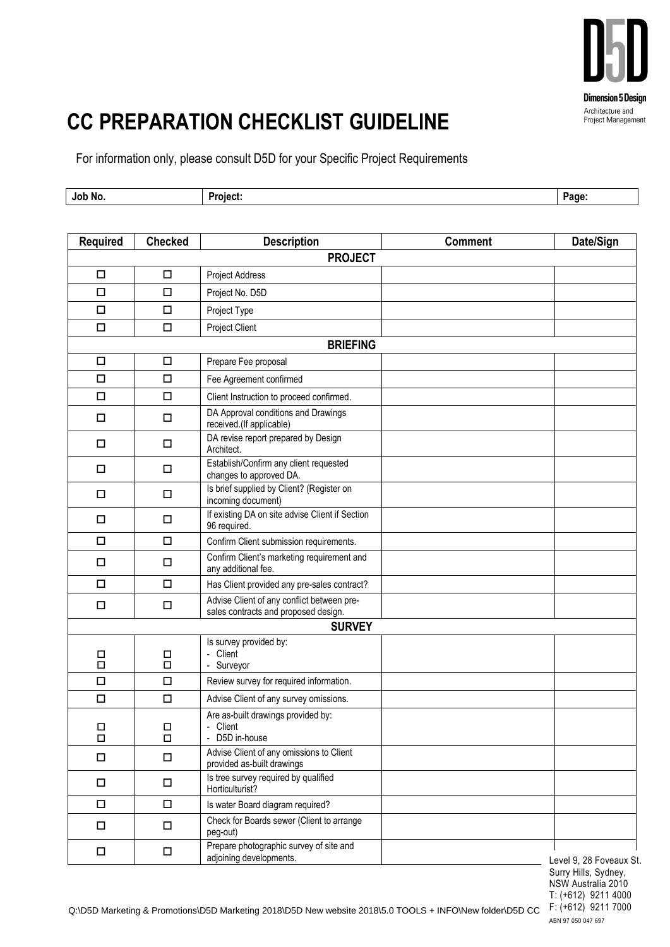

## **CC PREPARATION CHECKLIST GUIDELINE**

For information only, please consult D5D for your Specific Project Requirements

| Job No. | .<br>'≏ا≀،<br>- - | Page<br>այր |
|---------|-------------------|-------------|
|         |                   |             |

| <b>Required</b> | <b>Checked</b> | <b>Description</b>                                                                 | <b>Comment</b> | Date/Sign               |  |
|-----------------|----------------|------------------------------------------------------------------------------------|----------------|-------------------------|--|
| <b>PROJECT</b>  |                |                                                                                    |                |                         |  |
| $\Box$          | $\Box$         | <b>Project Address</b>                                                             |                |                         |  |
| $\Box$          | $\Box$         | Project No. D5D                                                                    |                |                         |  |
| □               | $\Box$         | Project Type                                                                       |                |                         |  |
| $\Box$          | $\Box$         | Project Client                                                                     |                |                         |  |
| <b>BRIEFING</b> |                |                                                                                    |                |                         |  |
| □               | $\Box$         | Prepare Fee proposal                                                               |                |                         |  |
| $\Box$          | □              | Fee Agreement confirmed                                                            |                |                         |  |
| $\Box$          | □              | Client Instruction to proceed confirmed.                                           |                |                         |  |
| □               | $\Box$         | DA Approval conditions and Drawings<br>received.(If applicable)                    |                |                         |  |
| $\Box$          | $\Box$         | DA revise report prepared by Design<br>Architect.                                  |                |                         |  |
| $\Box$          | $\Box$         | Establish/Confirm any client requested<br>changes to approved DA.                  |                |                         |  |
| □               | □              | Is brief supplied by Client? (Register on<br>incoming document)                    |                |                         |  |
| □               | $\Box$         | If existing DA on site advise Client if Section<br>96 required.                    |                |                         |  |
| $\Box$          | $\Box$         | Confirm Client submission requirements.                                            |                |                         |  |
| □               | □              | Confirm Client's marketing requirement and<br>any additional fee.                  |                |                         |  |
| □               | $\Box$         | Has Client provided any pre-sales contract?                                        |                |                         |  |
| $\Box$          | $\Box$         | Advise Client of any conflict between pre-<br>sales contracts and proposed design. |                |                         |  |
|                 |                | <b>SURVEY</b>                                                                      |                |                         |  |
| □<br>$\Box$     | □<br>$\Box$    | Is survey provided by:<br>- Client<br>- Surveyor                                   |                |                         |  |
| □               | □              | Review survey for required information.                                            |                |                         |  |
| $\Box$          | $\Box$         | Advise Client of any survey omissions.                                             |                |                         |  |
| □<br>$\Box$     | □<br>$\Box$    | Are as-built drawings provided by:<br>- Client<br>- D5D in-house                   |                |                         |  |
| $\Box$          | □              | Advise Client of any omissions to Client<br>provided as-built drawings             |                |                         |  |
| $\Box$          | $\Box$         | Is tree survey required by qualified<br>Horticulturist?                            |                |                         |  |
| $\Box$          | $\Box$         | Is water Board diagram required?                                                   |                |                         |  |
| $\Box$          | $\Box$         | Check for Boards sewer (Client to arrange<br>peg-out)                              |                |                         |  |
| $\Box$          | $\Box$         | Prepare photographic survey of site and<br>adjoining developments.                 |                | Level 9, 28 Foveaux St. |  |

Surry Hills, Sydney, NSW Australia 2010 T: (+612) 9211 4000 ABN 97 050 047 697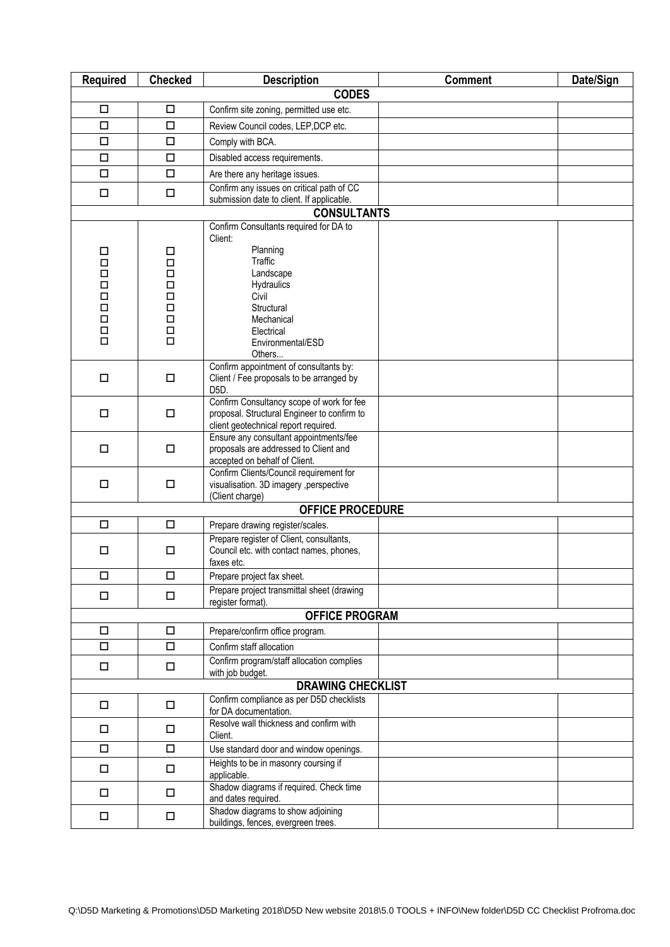| <b>Required</b>       | <b>Checked</b>                               | <b>Description</b>                                                                       | <b>Comment</b> | Date/Sign |  |  |
|-----------------------|----------------------------------------------|------------------------------------------------------------------------------------------|----------------|-----------|--|--|
| <b>CODES</b>          |                                              |                                                                                          |                |           |  |  |
| □                     | $\Box$                                       | Confirm site zoning, permitted use etc.                                                  |                |           |  |  |
| $\Box$                | $\Box$                                       | Review Council codes, LEP, DCP etc.                                                      |                |           |  |  |
| $\Box$                | $\Box$                                       | Comply with BCA.                                                                         |                |           |  |  |
| $\Box$                | $\Box$                                       | Disabled access requirements.                                                            |                |           |  |  |
| $\Box$                | $\Box$                                       | Are there any heritage issues.                                                           |                |           |  |  |
| $\Box$                | $\Box$                                       | Confirm any issues on critical path of CC<br>submission date to client. If applicable.   |                |           |  |  |
|                       |                                              | <b>CONSULTANTS</b>                                                                       |                |           |  |  |
|                       |                                              | Confirm Consultants required for DA to                                                   |                |           |  |  |
|                       |                                              | Client:                                                                                  |                |           |  |  |
| □<br>$\Box$           | □<br>$\Box$                                  | Planning<br>Traffic                                                                      |                |           |  |  |
| $\Box$                | $\Box$                                       | Landscape                                                                                |                |           |  |  |
| $\Box$                | $\Box$                                       | Hydraulics                                                                               |                |           |  |  |
| $\Box$<br>$\Box$      | $\Box$<br>$\Box$                             | Civil<br>Structural                                                                      |                |           |  |  |
| $\Box$                | $\Box$                                       | Mechanical                                                                               |                |           |  |  |
| $\Box$                | $\Box$                                       | Electrical                                                                               |                |           |  |  |
| $\Box$                | $\Box$                                       | Environmental/ESD                                                                        |                |           |  |  |
|                       |                                              | Others<br>Confirm appointment of consultants by:                                         |                |           |  |  |
| $\Box$                | $\Box$                                       | Client / Fee proposals to be arranged by                                                 |                |           |  |  |
|                       |                                              | D <sub>5</sub> D.                                                                        |                |           |  |  |
| $\Box$                | $\Box$                                       | Confirm Consultancy scope of work for fee<br>proposal. Structural Engineer to confirm to |                |           |  |  |
|                       |                                              | client geotechnical report required.                                                     |                |           |  |  |
|                       |                                              | Ensure any consultant appointments/fee                                                   |                |           |  |  |
| $\Box$                | $\Box$                                       | proposals are addressed to Client and<br>accepted on behalf of Client.                   |                |           |  |  |
|                       |                                              | Confirm Clients/Council requirement for                                                  |                |           |  |  |
| $\Box$                | $\Box$                                       | visualisation. 3D imagery , perspective                                                  |                |           |  |  |
|                       |                                              | (Client charge)<br><b>OFFICE PROCEDURE</b>                                               |                |           |  |  |
| $\Box$                | $\Box$                                       | Prepare drawing register/scales.                                                         |                |           |  |  |
|                       |                                              | Prepare register of Client, consultants,                                                 |                |           |  |  |
| $\Box$                | $\Box$                                       | Council etc. with contact names, phones,                                                 |                |           |  |  |
| $\Box$                | $\Box$                                       | faxes etc.<br>Prepare project fax sheet.                                                 |                |           |  |  |
|                       |                                              | Prepare project transmittal sheet (drawing                                               |                |           |  |  |
| $\Box$                | $\Box$                                       | register format).                                                                        |                |           |  |  |
| <b>OFFICE PROGRAM</b> |                                              |                                                                                          |                |           |  |  |
| $\Box$                | $\Box$                                       | Prepare/confirm office program.                                                          |                |           |  |  |
| $\Box$                | $\Box$                                       | Confirm staff allocation                                                                 |                |           |  |  |
| $\Box$                | $\Box$                                       | Confirm program/staff allocation complies                                                |                |           |  |  |
|                       | with job budget.<br><b>DRAWING CHECKLIST</b> |                                                                                          |                |           |  |  |
| $\Box$                | $\Box$                                       | Confirm compliance as per D5D checklists                                                 |                |           |  |  |
|                       |                                              | for DA documentation.                                                                    |                |           |  |  |
| $\Box$                | $\Box$                                       | Resolve wall thickness and confirm with<br>Client.                                       |                |           |  |  |
| $\Box$                | $\Box$                                       | Use standard door and window openings.                                                   |                |           |  |  |
| $\Box$                | $\Box$                                       | Heights to be in masonry coursing if                                                     |                |           |  |  |
|                       |                                              | applicable.                                                                              |                |           |  |  |
| $\Box$                | $\Box$                                       | Shadow diagrams if required. Check time<br>and dates required.                           |                |           |  |  |
| $\Box$                | $\Box$                                       | Shadow diagrams to show adjoining                                                        |                |           |  |  |
|                       |                                              | buildings, fences, evergreen trees.                                                      |                |           |  |  |